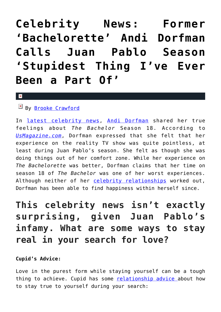## **[Celebrity News: Former](https://cupidspulse.com/108302/celebrity-news-bachelorette-andi-dorfman-juan-pablo-season-stupidest-thing/) ['Bachelorette' Andi Dorfman](https://cupidspulse.com/108302/celebrity-news-bachelorette-andi-dorfman-juan-pablo-season-stupidest-thing/) [Calls Juan Pablo Season](https://cupidspulse.com/108302/celebrity-news-bachelorette-andi-dorfman-juan-pablo-season-stupidest-thing/) ['Stupidest Thing I've Ever](https://cupidspulse.com/108302/celebrity-news-bachelorette-andi-dorfman-juan-pablo-season-stupidest-thing/) [Been a Part Of'](https://cupidspulse.com/108302/celebrity-news-bachelorette-andi-dorfman-juan-pablo-season-stupidest-thing/)**

#### $\mathbf{x}$

### By [Brooke Crawford](http://cupidspulse.com/107403/brooke-crawford/)

In [latest celebrity news](http://cupidspulse.com), [Andi Dorfman](http://cupidspulse.com/89079/andi-dorfman/) shared her true feelings about *The Bachelor* Season 18. According to *[UsMagazine.com](http://www.usmagazine.com/celebrity-news/news/andi-dorfman-vying-for-juan-pablo-on-bachelor-was-stupidest-thing-w202832)*, Dorfman expressed that she felt that her experience on the reality TV show was quite pointless, at least during Juan Pablo's season. She felt as though she was doing things out of her comfort zone. While her experience on *The Bachelorette* was better, Dorfman claims that her time on season 18 of *The Bachelor* was one of her worst experiences. Although neither of her [celebrity relationships](http://cupidspulse.com/celebrity-relationships/) worked out, Dorfman has been able to find happiness within herself since.

**This celebrity news isn't exactly surprising, given Juan Pablo's infamy. What are some ways to stay real in your search for love?**

### **Cupid's Advice:**

Love in the purest form while staying yourself can be a tough thing to achieve. Cupid has some [relationship advice a](http://cupidspulse.com/relationship-experts/)bout how to stay true to yourself during your search: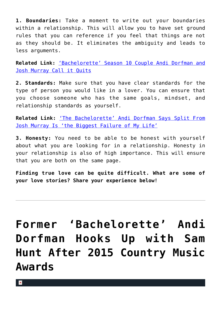**1. Boundaries:** Take a moment to write out your boundaries within a relationship. This will allow you to have set ground rules that you can reference if you feel that things are not as they should be. It eliminates the ambiguity and leads to less arguments.

**Related Link:** ['Bachelorette' Season 10 Couple Andi Dorfman and](http://cupidspulse.com/84890/bachelorette-season-10-andi-dorfman-josh-murray-celebrity-breakup/) [Josh Murray Call it Quits](http://cupidspulse.com/84890/bachelorette-season-10-andi-dorfman-josh-murray-celebrity-breakup/)

**2. Standards:** Make sure that you have clear standards for the type of person you would like in a lover. You can ensure that you choose someone who has the same goals, mindset, and relationship standards as yourself.

**Related Link:** ['The Bachelorette' Andi Dorfman Says Split From](http://cupidspulse.com/86903/celebrity-exes-the-bachelorette-andi-dorfman-split-josh-murray-biggest-failure/) [Josh Murray Is 'the Biggest Failure of My Life'](http://cupidspulse.com/86903/celebrity-exes-the-bachelorette-andi-dorfman-split-josh-murray-biggest-failure/)

**3. Honesty:** You need to be able to be honest with yourself about what you are looking for in a relationship. Honesty in your relationship is also of high importance. This will ensure that you are both on the same page.

**Finding true love can be quite difficult. What are some of your love stories? Share your experience below!**

# **[Former 'Bachelorette' Andi](https://cupidspulse.com/94103/former-bachelorette-andi-dorfman-hooks-up-with-sam-hunt-2015-country-music-awards/) [Dorfman Hooks Up with Sam](https://cupidspulse.com/94103/former-bachelorette-andi-dorfman-hooks-up-with-sam-hunt-2015-country-music-awards/) [Hunt After 2015 Country Music](https://cupidspulse.com/94103/former-bachelorette-andi-dorfman-hooks-up-with-sam-hunt-2015-country-music-awards/) [Awards](https://cupidspulse.com/94103/former-bachelorette-andi-dorfman-hooks-up-with-sam-hunt-2015-country-music-awards/)**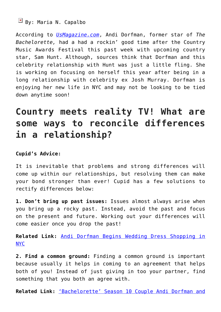### $\boxed{\times}$  By: Maria N. Capalbo

According to *[UsMagazine.com](http://www.usmagazine.com/celebrity-news/news/andi-dorfman-sam-hunt-hooked-up-after-country-music-awards-festival-2015166)*, Andi Dorfman, former star of *The Bachelorette,* had a had a rockin' good time after the Country Music Awards Festival this past week with upcoming country star, Sam Hunt. Although, sources think that Dorfman and this celebrity relationship with Hunt was just a little fling. She is working on focusing on herself this year after being in a long relationship with celebrity ex Josh Murray. Dorfman is enjoying her new life in NYC and may not be looking to be tied down anytime soon!

### **Country meets reality TV! What are some ways to reconcile differences in a relationship?**

### **Cupid's Advice:**

It is inevitable that problems and strong differences will come up within our relationships, but resolving them can make your bond stronger than ever! Cupid has a few solutions to rectify differences below:

**1. Don't bring up past issues:** Issues almost always arise when you bring up a rocky past. Instead, avoid the past and focus on the present and future. Working out your differences will come easier once you drop the past!

**Related Link:** [Andi Dorfman Begins Wedding Dress Shopping in](http://cupidspulse.com/81761/andi-dorfman-wedding-dress-shopping/#cC52U20IeX7pPiHr.99) [NYC](http://cupidspulse.com/81761/andi-dorfman-wedding-dress-shopping/#cC52U20IeX7pPiHr.99)

**2. Find a common ground:** Finding a common ground is important because usually it helps in coming to an agreement that helps both of you! Instead of just giving in too your partner, find something that you both an agree with.

**Related Link:** ['Bachelorette' Season 10 Couple Andi Dorfman and](http://cupidspulse.com/84890/bachelorette-season-10-andi-dorfman-josh-murray-celebrity-breakup/#rk38KfrbXCXE0hUF.99)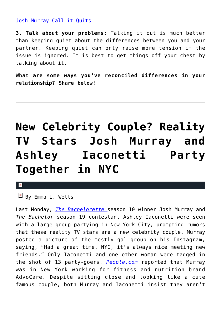### [Josh Murray Call it Quits](http://cupidspulse.com/84890/bachelorette-season-10-andi-dorfman-josh-murray-celebrity-breakup/#rk38KfrbXCXE0hUF.99)

**3. Talk about your problems:** Talking it out is much better than keeping quiet about the differences between you and your partner. Keeping quiet can only raise more tension if the issue is ignored. It is best to get things off your chest by talking about it.

**What are some ways you've reconciled differences in your relationship? Share below!**

# **[New Celebrity Couple? Reality](https://cupidspulse.com/90997/celebrity-couple-reality-tv-josh-murray-ashley-iaconetti-party-together/) [TV Stars Josh Murray and](https://cupidspulse.com/90997/celebrity-couple-reality-tv-josh-murray-ashley-iaconetti-party-together/) [Ashley Iaconetti Party](https://cupidspulse.com/90997/celebrity-couple-reality-tv-josh-murray-ashley-iaconetti-party-together/) [Together in NYC](https://cupidspulse.com/90997/celebrity-couple-reality-tv-josh-murray-ashley-iaconetti-party-together/)**

×

 $\overline{B}$  By Emma L. Wells

Last Monday, *[The Bachelorette](http://cupidspulse.com/reality-tv-couples/the-bachelorette/)* season 10 winner Josh Murray and *The Bachelor* season 19 contestant Ashley Iaconetti were seen with a large group partying in New York City, prompting rumors that these reality TV stars are a new celebrity couple. Murray posted a picture of the mostly gal group on his Instagram, saying, "Had a great time, NYC, it's always nice meeting new friends." Only Iaconetti and one other woman were tagged in the shot of 13 party-goers. *[People.com](http://www.people.com/article/josh-murray-posts-picture-ashley-iaconetti)* reported that Murray was in New York working for fitness and nutrition brand AdvoCare. Despite sitting close and looking like a cute famous couple, both Murray and Iaconetti insist they aren't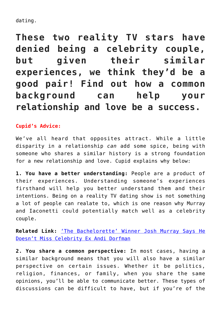dating.

**These two reality TV stars have denied being a celebrity couple, but given their similar experiences, we think they'd be a good pair! Find out how a common background can help your relationship and love be a success.**

### **Cupid's Advice:**

We've all heard that opposites attract. While a little disparity in a relationship *can* add some spice, being with someone who shares a similar history is a strong foundation for a new relationship and love. Cupid explains why below:

**1. You have a better understanding:** People are a product of their experiences. Understanding someone's experiences firsthand will help you better understand them and their intentions. Being on a reality TV dating show is not something a lot of people can realate to, which is one reason why Murray and Iaconetti could potentially match well as a celebrity couple.

**Related Link:** ['The Bachelorette' Winner Josh Murray Says He](http://cupidspulse.com/89914/the-bachelorette-josh-murray-celebrity-ex-andi-dorfman/) [Doesn't Miss Celebrity Ex Andi Dorfman](http://cupidspulse.com/89914/the-bachelorette-josh-murray-celebrity-ex-andi-dorfman/)

**2. You share a common perspective:** In most cases, having a similar background means that you will also have a similar perspective on certain issues. Whether it be politics, religion, finances, or family, when you share the same opinions, you'll be able to communicate better. These types of discussions can be difficult to have, but if you're of the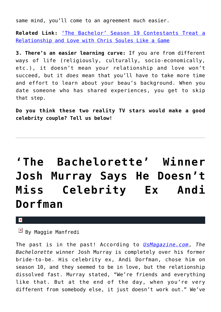same mind, you'll come to an agreement much easier.

**Related Link:** ['The Bachelor' Season 19 Contestants Treat a](http://cupidspulse.com/86606/the-bachelor-season-19-relationship-and-love-with-chris-soules-a-game/) [Relationship and Love with Chris Soules Like a Game](http://cupidspulse.com/86606/the-bachelor-season-19-relationship-and-love-with-chris-soules-a-game/)

**3. There's an easier learning curve:** If you are from different ways of life (religiously, culturally, socio-economically, etc.), it doesn't mean your relationship and love won't succeed, but it *does* mean that you'll have to take more time and effort to learn about your beau's background. When you date someone who has shared experiences, you get to skip that step.

**Do you think these two reality TV stars would make a good celebrity couple? Tell us below!**

# **['The Bachelorette' Winner](https://cupidspulse.com/89914/the-bachelorette-josh-murray-celebrity-ex-andi-dorfman/) [Josh Murray Says He Doesn't](https://cupidspulse.com/89914/the-bachelorette-josh-murray-celebrity-ex-andi-dorfman/) [Miss Celebrity Ex Andi](https://cupidspulse.com/89914/the-bachelorette-josh-murray-celebrity-ex-andi-dorfman/) [Dorfman](https://cupidspulse.com/89914/the-bachelorette-josh-murray-celebrity-ex-andi-dorfman/)**

 $\pmb{\times}$ 

 $\overline{B}$  By Maggie Manfredi

The past is in the past! According to *[UsMagazine.com](http://www.usmagazine.com/celebrity-news/news/josh-murray-says-he-doesnt-miss-ex-fiancee-andi-dorfman-2015303)*, *The Bachelorette* winner Josh Murray is completely over his former bride-to-be. His celebrity ex, Andi Dorfman, chose him on season 10, and they seemed to be in love, but the relationship dissolved fast. Murray stated, "We're friends and everything like that. But at the end of the day, when you're very different from somebody else, it just doesn't work out." We've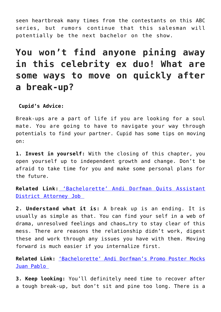seen heartbreak many times from the contestants on this ABC series, but rumors continue that this salesman will potentially be the next bachelor on the show.

## **You won't find anyone pining away in this celebrity ex duo! What are some ways to move on quickly after a break-up?**

### **Cupid's Advice:**

Break-ups are a part of life if you are looking for a soul mate. You are going to have to navigate your way through potentials to find your partner. Cupid has some tips on moving on:

**1. Invest in yourself:** With the closing of this chapter, you open yourself up to independent growth and change. Don't be afraid to take time for you and make some personal plans for the future.

**Related Link:** ['Bachelorette' Andi Dorfman Quits Assistant](http://cupidspulse.com/75980/bachelorette-andi-dorfman-quits-assistant-da-job/) [District Attorney Job](http://cupidspulse.com/75980/bachelorette-andi-dorfman-quits-assistant-da-job/) 

**2. Understand what it is:** A break up is an ending. It is usually as simple as that. You can find your self in a web of drama, unresolved feelings and chaos…try to stay clear of this mess. There are reasons the relationship didn't work, digest these and work through any issues you have with them. Moving forward is much easier if you internalize first.

**Related Link:** ['Bachelorette' Andi Dorfman's Promo Poster Mocks](http://cupidspulse.com/73467/bachelorette-andi-dorfmans-promo-poster-juan-pablo/) [Juan Pablo](http://cupidspulse.com/73467/bachelorette-andi-dorfmans-promo-poster-juan-pablo/) 

**3. Keep looking:** You'll definitely need time to recover after a tough break-up, but don't sit and pine too long. There is a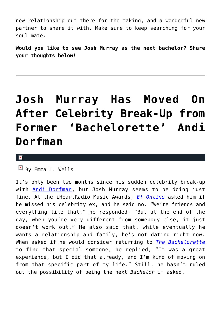new relationship out there for the taking, and a wonderful new partner to share it with. Make sure to keep searching for your soul mate.

**Would you like to see Josh Murray as the next bachelor? Share your thoughts below!** 

# **[Josh Murray Has Moved On](https://cupidspulse.com/89941/josh-murray-has-moved-on-after-celebrity-break-up-bachelorette-andi-dorfman/) [After Celebrity Break-Up from](https://cupidspulse.com/89941/josh-murray-has-moved-on-after-celebrity-break-up-bachelorette-andi-dorfman/) [Former 'Bachelorette' Andi](https://cupidspulse.com/89941/josh-murray-has-moved-on-after-celebrity-break-up-bachelorette-andi-dorfman/) [Dorfman](https://cupidspulse.com/89941/josh-murray-has-moved-on-after-celebrity-break-up-bachelorette-andi-dorfman/)**

#### $\mathbf x$

 $\overline{B}$  By Emma L. Wells

It's only been two months since his sudden celebrity break-up with [Andi Dorfman,](http://cupidspulse.com/89079/andi-dorfman/) but Josh Murray seems to be doing just fine. At the iHeartRadio Music Awards, *[E! Online](http://www.eonline.com/news/640891/bachelorette-josh-murray-doesn-t-miss-andi-dorfman-insists-he-s-not-looking-for-love-right-now)* asked him if he missed his celebrity ex, and he said no. "We're friends and everything like that," he responded. "But at the end of the day, when you're very different from somebody else, it just doesn't work out." He also said that, while eventually he wants a relationship and family, he's not dating right now. When asked if he would consider returning to *[The Bachelorette](http://cupidspulse.com/celebrity-news/reality-tv/the-bachelorette/)* to find that special someone, he replied, "It was a great experience, but I did that already, and I'm kind of moving on from that specific part of my life." Still, he hasn't ruled out the possibility of being the next *Bachelor* if asked.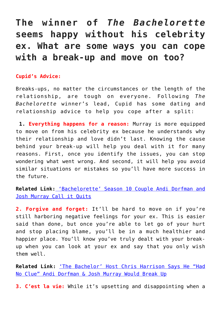### **The winner of** *The Bachelorette* **seems happy without his celebrity ex. What are some ways you can cope with a break-up and move on too?**

### **Cupid's Advice:**

Breaks-ups, no matter the circumstances or the length of the relationship, are tough on everyone. Following *The Bachelorette* winner's lead, Cupid has some dating and relationship advice to help you cope after a split:

 **1. Everything happens for a reason:** Murray is more equipped to move on from his celebrity ex because he understands why their relationship and love didn't last. Knowing the cause behind your break-up will help you deal with it for many reasons. First, once you identify the issues, you can stop wondering what went wrong. And second, it will help you avoid similar situations or mistakes so you'll have more success in the future.

**Related Link[:](http://cupidspulse.com/84890/bachelorette-season-10-andi-dorfman-josh-murray-celebrity-breakup/)** ['Bachelorette' Season 10 Couple Andi Dorfman and](http://cupidspulse.com/84890/bachelorette-season-10-andi-dorfman-josh-murray-celebrity-breakup/) [Josh Murray Call it Quits](http://cupidspulse.com/84890/bachelorette-season-10-andi-dorfman-josh-murray-celebrity-breakup/)

**2. Forgive and forget:** It'll be hard to move on if you're still harboring negative feelings for your ex. This is easier said than done, but once you're able to let go of your hurt and stop placing blame, you'll be in a much healthier and happier place. You'll know you've truly dealt with your breakup when you can look at your ex and say that you only wish them well.

**Related Link:** ['The Bachelor' Host Chris Harrison Says He "Had](http://cupidspulse.com/85071/the-bachelor-host-andi-dorfman-josh-murray-breakup/) [No Clue" Andi Dorfman & Josh Murray Would Break Up](http://cupidspulse.com/85071/the-bachelor-host-andi-dorfman-josh-murray-breakup/)

**3. C'est la vie:** While it's upsetting and disappointing when a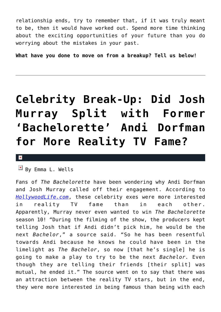relationship ends, try to remember that, if it was truly meant to be, then it would have worked out. Spend more time thinking about the exciting opportunities of your future than you do worrying about the mistakes in your past.

**What have you done to move on from a breakup? Tell us below!**

## **[Celebrity Break-Up: Did Josh](https://cupidspulse.com/86624/celebrity-break-up-josh-murray-andi-dorfman-reality-tv-fame/) [Murray Split with Former](https://cupidspulse.com/86624/celebrity-break-up-josh-murray-andi-dorfman-reality-tv-fame/) ['Bachelorette' Andi Dorfman](https://cupidspulse.com/86624/celebrity-break-up-josh-murray-andi-dorfman-reality-tv-fame/) [for More Reality TV Fame?](https://cupidspulse.com/86624/celebrity-break-up-josh-murray-andi-dorfman-reality-tv-fame/)**

#### $\pmb{\times}$

 $\overline{B}$  By Emma L. Wells

Fans of *The Bachelorette* have been wondering why Andi Dorfman and Josh Murray called off their engagement. According to *[HollywoodLife.com](http://hollywoodlife.com/2015/01/09/josh-murray-the-bachelor-andi-dorfman-break-up-reason/)*, these celebrity exes were more interested in reality TV fame than in each other. Apparently, Murray never even wanted to win *The Bachelorette* season 10! "During the filming of the show, the producers kept telling Josh that if Andi didn't pick him, he would be the next *Bachelor*," a source said. "So he has been resentful towards Andi because he knows he could have been in the limelight as *The Bachelor*, so now [that he's single] he is going to make a play to try to be the next *Bachelor.* Even though they are telling their friends [their split] was mutual, he ended it." The source went on to say that there was an attraction between the reality TV stars, but in the end, they were more interested in being famous than being with each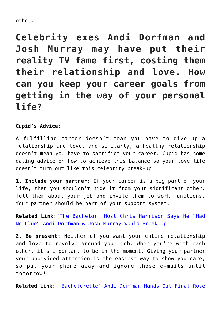### other.

**Celebrity exes Andi Dorfman and Josh Murray may have put their reality TV fame first, costing them their relationship and love. How can you keep your career goals from getting in the way of your personal life?**

### **Cupid's Advice:**

A fulfilling career doesn't mean you have to give up a relationship and love, and similarly, a healthy relationship doesn't mean you have to sacrifice your career. Cupid has some dating advice on how to achieve this balance so your love life doesn't turn out like this celebrity break-up:

**1. Include your partner:** If your career is a big part of your life, then you shouldn't hide it from your significant other. Tell them about your job and invite them to work functions. Your partner should be part of your support system.

**Related Link:**['The Bachelor' Host Chris Harrison Says He "Had](http://cupidspulse.com/85071/the-bachelor-host-andi-dorfman-josh-murray-breakup/) [No Clue" Andi Dorfman & Josh Murray Would Break Up](http://cupidspulse.com/85071/the-bachelor-host-andi-dorfman-josh-murray-breakup/)

**2. Be present:** Neither of you want your entire relationship and love to revolve around your job. When you're with each other, it's important to be in the moment. Giving your partner your undivided attention is the easiest way to show you care, so put your phone away and ignore those e-mails until tomorrow!

**Related Link:** ['Bachelorette' Andi Dorfman Hands Out Final Rose](http://cupidspulse.com/78531/bachelorette-andi-dorfman-finale/)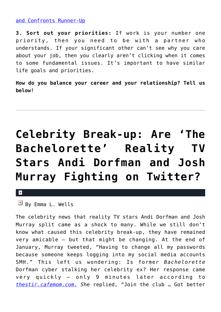### [and Confronts Runner-Up](http://cupidspulse.com/78531/bachelorette-andi-dorfman-finale/)

**3. Sort out your priorities:** If work is your number one priority, then you need to be with a partner who understands. If your significant other can't see why you care about your job, then you clearly aren't clicking when it comes to some fundamental issues. It's important to have similar life goals and priorities.

**How do you balance your career and your relationship? Tell us below!**

# **[Celebrity Break-up: Are 'The](https://cupidspulse.com/86216/celebrity-break-up-bachelorette-andi-dorfman-josh-murray-twitter-feud/) [Bachelorette' Reality TV](https://cupidspulse.com/86216/celebrity-break-up-bachelorette-andi-dorfman-josh-murray-twitter-feud/) [Stars Andi Dorfman and Josh](https://cupidspulse.com/86216/celebrity-break-up-bachelorette-andi-dorfman-josh-murray-twitter-feud/) [Murray Fighting on Twitter?](https://cupidspulse.com/86216/celebrity-break-up-bachelorette-andi-dorfman-josh-murray-twitter-feud/)**

#### $\pmb{\times}$

The celebrity news that reality TV stars Andi Dorfman and Josh Murray split came as a shock to many. While we still don't know what caused this celebrity break-up, they have remained very amicable — but that might be changing. At the end of January, Murray tweeted, "Having to change all my passwords because someone keeps logging into my social media accounts SMH." This left us wondering: Is former *Bachelorette* Dorfman cyber stalking her celebrity ex? Her response came very quickly — only 9 minutes later according to *[thestir.cafemom.com.](http://thestir.cafemom.com/celebrities/182098/andi_dorfman_josh_murray_feud) S*he replied, "Join the club … Got better

 $\boxed{\times}$  By Emma L. Wells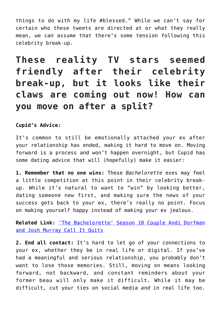things to do with my life #blessed." While we can't say for certain who these tweets are directed at or what they really mean, we *can* assume that there's some tension following this celebrity break-up.

**These reality TV stars seemed friendly after their celebrity break-up, but it looks like their claws are coming out now! How can you move on after a split?**

**Cupid's Advice:**

It's common to still be emotionally attached your ex after your relationship has ended, making it hard to move on. Moving forward is a process and won't happen overnight, but Cupid has some dating advice that will (hopefully) make it easier:

**1. Remember that no one wins:** These *Bachelorette* exes may feel a little competition at this point in their celebrity breakup. While it's natural to want to "win" by looking better, dating someone new first, and making sure the news of your success gets back to your ex, there's really no point. Focus on making yourself happy instead of making your ex jealous.

**Related Link:** ['The Bachelorette' Season 10 Couple Andi Dorfman](http://cupidspulse.com/84890/bachelorette-season-10-andi-dorfman-josh-murray-celebrity-breakup/) [and Josh Murray Call It Quits](http://cupidspulse.com/84890/bachelorette-season-10-andi-dorfman-josh-murray-celebrity-breakup/)

**2. End all contact:** It's hard to let go of your connections to your ex, whether they be in real life or digital. If you've had a meaningful and serious relationship, you probably don't want to lose those memories. Still, moving on means looking forward, not backward, and constant reminders about your former beau will only make it difficult. While it may be difficult, cut your ties on social media *and* in real life too.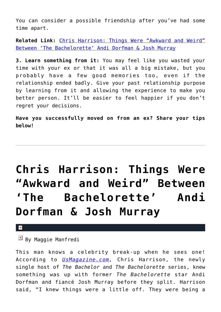You can consider a possible friendship after you've had some time apart.

**Related Link:** [Chris Harrison: Things Were "Awkward and Weird"](http://cupidspulse.com/85385/chris-harrison-awkward-between-the-bachelorette-andi-dorfman-josh-murray-celebrity-exes/) [Between 'The Bachelorette' Andi Dorfman & Josh Murray](http://cupidspulse.com/85385/chris-harrison-awkward-between-the-bachelorette-andi-dorfman-josh-murray-celebrity-exes/)

**3. Learn something from it:** You may feel like you wasted your time with your ex or that it was all a big mistake, but you probably have a few good memories too, even if the relationship ended badly. Give your past relationship purpose by learning from it and allowing the experience to make you better person. It'll be easier to feel happier if you don't regret your decisions.

**Have you successfully moved on from an ex? Share your tips below!**

# **[Chris Harrison: Things Were](https://cupidspulse.com/85385/chris-harrison-awkward-between-the-bachelorette-andi-dorfman-josh-murray-celebrity-exes/) ["Awkward and Weird" Between](https://cupidspulse.com/85385/chris-harrison-awkward-between-the-bachelorette-andi-dorfman-josh-murray-celebrity-exes/) ['The Bachelorette' Andi](https://cupidspulse.com/85385/chris-harrison-awkward-between-the-bachelorette-andi-dorfman-josh-murray-celebrity-exes/) [Dorfman & Josh Murray](https://cupidspulse.com/85385/chris-harrison-awkward-between-the-bachelorette-andi-dorfman-josh-murray-celebrity-exes/)**

#### $\pmb{\times}$

### $\boxed{\times}$  By Maggie Manfredi

This man knows a celebrity break-up when he sees one! According to *[UsMagazine.com](http://www.usmagazine.com/celebrity-news/news/chris-harrison-andi-dorfman-josh-murray-were-off-before-split-2015201),* Chris Harrison, the newly single host of *The Bachelor* and *The Bachelorette* series, knew something was up with former *The Bachelorette* star Andi Dorfman and fiancé Josh Murray before they split. Harrison said, "I knew things were a little off. They were being a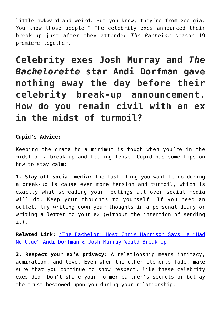little awkward and weird. But you know, they're from Georgia. You know those people." The celebrity exes announced their break-up just after they attended *The Bachelor* season 19 premiere together.

**Celebrity exes Josh Murray and** *The Bachelorette* **star Andi Dorfman gave nothing away the day before their celebrity break-up announcement. How do you remain civil with an ex in the midst of turmoil?**

### **Cupid's Advice:**

Keeping the drama to a minimum is tough when you're in the midst of a break-up and feeling tense. Cupid has some tips on how to stay calm:

**1. Stay off social media:** The last thing you want to do during a break-up is cause even more tension and turmoil, which is exactly what spreading your feelings all over social media will do. Keep your thoughts to yourself. If you need an outlet, try writing down your thoughts in a personal diary or writing a letter to your ex (without the intention of sending it).

**Related Link:** ['The Bachelor' Host Chris Harrison Says He "Had](http://cupidspulse.com/85071/the-bachelor-host-andi-dorfman-josh-murray-breakup/) [No Clue" Andi Dorfman & Josh Murray Would Break Up](http://cupidspulse.com/85071/the-bachelor-host-andi-dorfman-josh-murray-breakup/)

**2. Respect your ex's privacy:** A relationship means intimacy, admiration, and love. Even when the other elements fade, make sure that you continue to show respect, like these celebrity exes did. Don't share your former partner's secrets or betray the trust bestowed upon you during your relationship.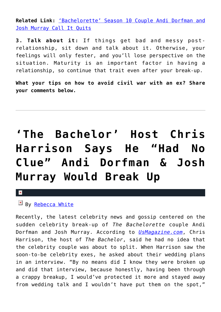**Related Link:** ['Bachelorette' Season 10 Couple Andi Dorfman and](http://cupidspulse.com/84890/bachelorette-season-10-andi-dorfman-josh-murray-celebrity-breakup/) [Josh Murray Call It Quits](http://cupidspulse.com/84890/bachelorette-season-10-andi-dorfman-josh-murray-celebrity-breakup/)

**3. Talk about it:** If things get bad and messy postrelationship, sit down and talk about it. Otherwise, your feelings will only fester, and you'll lose perspective on the situation. Maturity is an important factor in having a relationship, so continue that trait even after your break-up.

**What your tips on how to avoid civil war with an ex? Share your comments below.**

# **['The Bachelor' Host Chris](https://cupidspulse.com/85071/the-bachelor-host-andi-dorfman-josh-murray-breakup/) [Harrison Says He "Had No](https://cupidspulse.com/85071/the-bachelor-host-andi-dorfman-josh-murray-breakup/) [Clue" Andi Dorfman & Josh](https://cupidspulse.com/85071/the-bachelor-host-andi-dorfman-josh-murray-breakup/) [Murray Would Break Up](https://cupidspulse.com/85071/the-bachelor-host-andi-dorfman-josh-murray-breakup/)**

### ×

 $\boxed{\times}$  By [Rebecca White](http://cupidspulse.com/104603/rebecca-white/)

Recently, the latest celebrity news and gossip centered on the sudden celebrity break-up of *The Bachelorette* couple Andi Dorfman and Josh Murray. According to *[UsMagazine.com](http://www.usmagazine.com/celebrity-news/news/chris-harrison-had-no-clue-about-andi-dorfman-josh-murray-split-2015131)*, Chris Harrison, the host of *The Bachelor*, said he had no idea that the celebrity couple was about to split. When Harrison saw the soon-to-be celebrity exes, he asked about their wedding plans in an interview. "By no means did I know they were broken up and did that interview, because honestly, having been through a crappy breakup, I would've protected it more and stayed away from wedding talk and I wouldn't have put them on the spot,"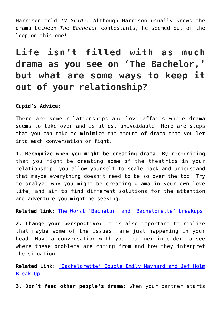Harrison told *TV Guide*. Although Harrison usually knows the drama between *The Bachelor* contestants, he seemed out of the loop on this one!

## **Life isn't filled with as much drama as you see on 'The Bachelor,' but what are some ways to keep it out of your relationship?**

### **Cupid's Advice:**

There are some relationships and love affairs where drama seems to take over and is almost unavoidable. Here are steps that you can take to minimize the amount of drama that you let into each conversation or fight.

**1. Recognize when you might be creating drama:** By recognizing that you might be creating some of the theatrics in your relationship, you allow yourself to scale back and understand that maybe everything doesn't need to be so over the top. Try to analyze why you might be creating drama in your own love life, and aim to find different solutions for the attention and adventure you might be seeking.

**Related link:** [The Worst 'Bachelor' and 'Bachelorette' breakups](http://cupidspulse.com/84889/the-worst-bachelor-bachelorette-celebrity-breakups/)

**2. Change your perspective:** It is also important to realize that maybe some of the issues are just happening in your head. Have a conversation with your partner in order to see where these problems are coming from and how they interpret the situation.

**Related Link:** ['Bachelorette' Couple Emily Maynard and Jef Holm](http://cupidspulse.com/39915/bachelorette-couple-emily-maynard-jef-holm-break-up/) [Break Up](http://cupidspulse.com/39915/bachelorette-couple-emily-maynard-jef-holm-break-up/)

**3. Don't feed other people's drama:** When your partner starts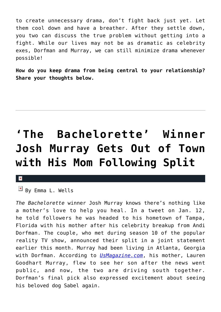to create unnecessary drama, don't fight back just yet. Let them cool down and have a breather. After they settle down, you two can discuss the true problem without getting into a fight. While our lives may not be as dramatic as celebrity exes, Dorfman and Murray, we can still minimize drama whenever possible!

**How do you keep drama from being central to your relationship? Share your thoughts below.**

# **['The Bachelorette' Winner](https://cupidspulse.com/85050/the-bachelorette-winner-josh-murray-celebrity-breakup/) [Josh Murray Gets Out of Town](https://cupidspulse.com/85050/the-bachelorette-winner-josh-murray-celebrity-breakup/) [with His Mom Following Split](https://cupidspulse.com/85050/the-bachelorette-winner-josh-murray-celebrity-breakup/)**

#### $\mathbf{x}$

 $\overline{B}$  By Emma L. Wells

*The Bachelorette* winner Josh Murray knows there's nothing like a mother's love to help you heal. In a tweet on Jan. 12, he told followers he was headed to his hometown of Tampa, Florida with his mother after his celebrity breakup from Andi Dorfman. The couple, who met during season 10 of the popular reality TV show, announced their split in a joint statement earlier this month. Murray had been living in Atlanta, Georgia with Dorfman. According to *[UsMagazine.com](http://www.usmagazine.com/celebrity-news/news/josh-murray-takes-trip-with-mom-after-andi-dorfman-split-2015121)*, his mother, Lauren Goodhart Murray, flew to see her son after the news went public, and now, the two are driving south together. Dorfman's final pick also expressed excitement about seeing his beloved dog Sabel again.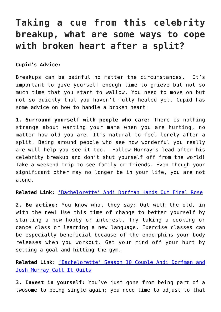### **Taking a cue from this celebrity breakup, what are some ways to cope with broken heart after a split?**

**Cupid's Advice:**

Breakups can be painful no matter the circumstances. It's important to give yourself enough time to grieve but not so much time that you start to wallow. You need to move on but not so quickly that you haven't fully healed yet. Cupid has some advice on how to handle a broken heart:

**1. Surround yourself with people who care:** There is nothing strange about wanting your mama when you are hurting, no matter how old you are. It's natural to feel lonely after a split. Being around people who see how wonderful you really are will help you see it too. Follow Murray's lead after his celebrity breakup and don't shut yourself off from the world! Take a weekend trip to see family or friends. Even though your significant other may no longer be in your life, you are not alone.

**Related Link:** ['Bachelorette' Andi Dorfman Hands Out Final Rose](http://cupidspulse.com/78531/bachelorette-andi-dorfman-finale/)

**2. Be active:** You know what they say: Out with the old, in with the new! Use this time of change to better yourself by starting a new hobby or interest. Try taking a cooking or dance class or learning a new language. Exercise classes can be especially beneficial because of the endorphins your body releases when you workout. Get your mind off your hurt by setting a goal and hitting the gym.

**Related Link:** ['Bachelorette' Season 10 Couple Andi Dorfman and](http://cupidspulse.com/84890/bachelorette-season-10-andi-dorfman-josh-murray-celebrity-breakup/) [Josh Murray Call It Quits](http://cupidspulse.com/84890/bachelorette-season-10-andi-dorfman-josh-murray-celebrity-breakup/)

**3. Invest in yourself:** You've just gone from being part of a twosome to being single again; you need time to adjust to that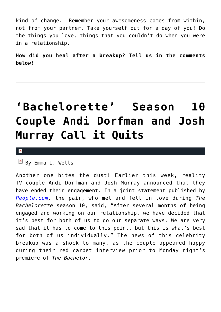kind of change. Remember your awesomeness comes from within, not from your partner. Take yourself out for a day of you! Do the things you love, things that you couldn't do when you were in a relationship.

**How did you heal after a breakup? Tell us in the comments below!**

# **['Bachelorette' Season 10](https://cupidspulse.com/84890/bachelorette-season-10-andi-dorfman-josh-murray-celebrity-breakup/) [Couple Andi Dorfman and Josh](https://cupidspulse.com/84890/bachelorette-season-10-andi-dorfman-josh-murray-celebrity-breakup/) [Murray Call it Quits](https://cupidspulse.com/84890/bachelorette-season-10-andi-dorfman-josh-murray-celebrity-breakup/)**

 $\mathbf x$ 

 $\overline{B}$  By Emma L. Wells

Another one bites the dust! Earlier this week, reality TV couple Andi Dorfman and Josh Murray announced that they have ended their engagement. In a joint statement published by *[People.com,](http://www.people.com/article/andi-dorfman-josh-murray-split-bachelorette)* the pair, who met and fell in love during *The Bachelorette* season 10, said, "After several months of being engaged and working on our relationship, we have decided that it's best for both of us to go our separate ways. We are very sad that it has to come to this point, but this is what's best for both of us individually." The news of this celebrity breakup was a shock to many, as the couple appeared happy during their red carpet interview prior to Monday night's premiere of *The Bachelor*.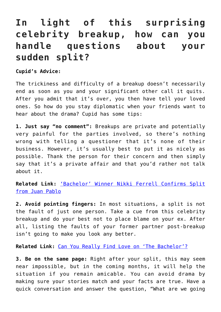## **In light of this surprising celebrity breakup, how can you handle questions about your sudden split?**

**Cupid's Advice:**

The trickiness and difficulty of a breakup doesn't necessarily end as soon as you and your significant other call it quits. After you admit that it's over, you then have tell your loved ones. So how do you stay diplomatic when your friends want to hear about the drama? Cupid has some tips:

**1. Just say "no comment":** Breakups are private and potentially very painful for the parties involved, so there's nothing wrong with telling a questioner that it's none of their business. However, it's usually best to put it as nicely as possible. Thank the person for their concern and then simply say that it's a private affair and that you'd rather not talk about it.

**Related Link:** ['Bachelor' Winner Nikki Ferrell Confirms Split](http://cupidspulse.com/82929/bachelor-nikki-ferrell-confirms-juan-pablo-split/) [from Juan Pablo](http://cupidspulse.com/82929/bachelor-nikki-ferrell-confirms-juan-pablo-split/)

**2. Avoid pointing fingers:** In most situations, a split is not the fault of just one person. Take a cue from this celebrity breakup and do your best not to place blame on your ex. After all, listing the faults of your former partner post-breakup isn't going to make you look any better.

**Related Link:** [Can You Really Find Love on 'The Bachelor'?](http://cupidspulse.com/69076/marni-battista-can-you-find-love-on-the-bachelor/)

**3. Be on the same page:** Right after your split, this may seem near impossible, but in the coming months, it will help the situation if you remain amicable. You can avoid drama by making sure your stories match and your facts are true. Have a quick conversation and answer the question, "What are we going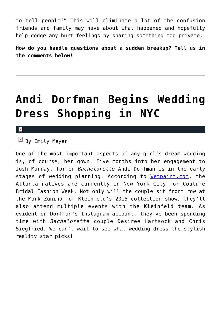to tell people?" This will eliminate a lot of the confusion friends and family may have about what happened and hopefully help dodge any hurt feelings by sharing something too private.

**How do you handle questions about a sudden breakup? Tell us in the comments below!**

# **[Andi Dorfman Begins Wedding](https://cupidspulse.com/81761/andi-dorfman-wedding-dress-shopping/) [Dress Shopping in NYC](https://cupidspulse.com/81761/andi-dorfman-wedding-dress-shopping/)**

 $\mathbf{x}$ 

 $\mathbb{F}$  By Emily Meyer

One of the most important aspects of any girl's dream wedding is, of course, her gown. Five months into her engagement to Josh Murray, former *Bachelorette* Andi Dorfman is in the early stages of wedding planning. According to [Wetpaint.com,](http://www.wetpaint.com/andi-dorfman/articles/2014-10-10-wedding-dress-shopping-kleinfeld-nyc) the Atlanta natives are currently in New York City for Couture Bridal Fashion Week. Not only will the couple sit front row at the Mark Zunino for Kleinfeld's 2015 collection show, they'll also attend multiple events with the Kleinfeld team. As evident on Dorfman's Instagram account, they've been spending time with *Bachelorette* couple Desiree Hartsock and Chris Siegfried. We can't wait to see what wedding dress the stylish reality star picks!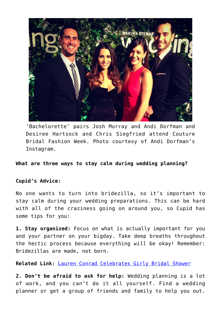

'Bachelorette' pairs Josh Murray and Andi Dorfman and Desiree Hartsock and Chris Siegfried attend Couture Bridal Fashion Week. Photo courtesy of Andi Dorfman's Instagram.

### **What are three ways to stay calm during wedding planning?**

#### **Cupid's Advice:**

No one wants to turn into bridezilla, so it's important to stay calm during your wedding preparations. This can be hard with all of the craziness going on around you, so Cupid has some tips for you:

**1. Stay organized:** Focus on what is actually important for you and your partner on your bigday. Take deep breaths throughout the hectic process because everything *will* be okay! Remember: Bridezillas are made, not born.

**Related Link:** [Lauren Conrad Celebrates Girly Bridal Shower](http://cupidspulse.com/79938/llauren-conrad-bridal-shower/)

**2. Don't be afraid to ask for help:** Wedding planning is a lot of work, and you can't do it all yourself. Find a wedding planner or get a group of friends and family to help you out.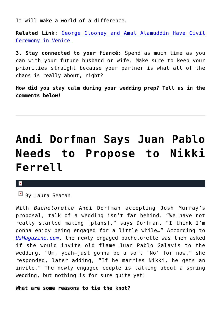It will make a world of a difference.

**Related Link:** [George Clooney and Amal Alamuddin Have Civil](http://cupidspulse.com/81302/george-clooney-amal-alamuddin-civil-ceremony-venice/) [Ceremony in Venice](http://cupidspulse.com/81302/george-clooney-amal-alamuddin-civil-ceremony-venice/) 

**3. Stay connected to your fiancé:** Spend as much time as you can with your future husband or wife. Make sure to keep your priorities straight because your partner is what all of the chaos is really about, right?

**How did you stay calm during your wedding prep? Tell us in the comments below!**

# **[Andi Dorfman Says Juan Pablo](https://cupidspulse.com/78590/andi-dorfman-juan-pablo-nikki-ferrell/) [Needs to Propose to Nikki](https://cupidspulse.com/78590/andi-dorfman-juan-pablo-nikki-ferrell/) [Ferrell](https://cupidspulse.com/78590/andi-dorfman-juan-pablo-nikki-ferrell/)**

 $\mathbf x$ 

 $B$  By Laura Seaman

With *Bachelorette* Andi Dorfman accepting Josh Murray's proposal, talk of a wedding isn't far behind. "We have not really started making [plans]," says Dorfman. "I think I'm gonna enjoy being engaged for a little while…" According to *[UsMagazine.com](http://www.usmagazine.com/celebrity-news/news/andi-dorfman-wont-invite-juan-pablo-to-wedding-2014307)*, the newly engaged bachelorette was then asked if she would invite old flame Juan Pablo Galavis to the wedding. "Um, yeah—just gonna be a soft 'No' for now," she responded, later adding, "If he marries Nikki, he gets an invite." The newly engaged couple is talking about a spring wedding, but nothing is for sure quite yet!

**What are some reasons to tie the knot?**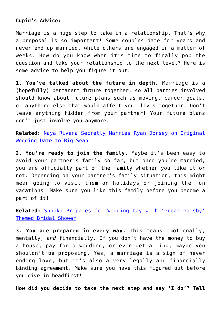### **Cupid's Advice:**

Marriage is a huge step to take in a relationship. That's why a proposal is so important! Some couples date for years and never end up married, while others are engaged in a matter of weeks. How do you know when it's time to finally pop the question and take your relationship to the next level? Here is some advice to help you figure it out:

**1. You've talked about the future in depth.** Marriage is a (hopefully) permanent future together, so all parties involved should know about future plans such as moving, career goals, or anything else that would affect your lives together. Don't leave anything hidden from your partner! Your future plans don't just involve you anymore.

**Related:** [Naya Rivera Secretly Marries Ryan Dorsey on Original](http://cupidspulse.com/naya-rivera-secretly-married-ryan-dorsey/) [Wedding Date to Big Sean](http://cupidspulse.com/naya-rivera-secretly-married-ryan-dorsey/)

**2. You're ready to join the family.** Maybe it's been easy to avoid your partner's family so far, but once you're married, you are officially part of the family whether you like it or not. Depending on your partner's family situation, this might mean going to visit them on holidays or joining them on vacations. Make sure you like this family before you become a part of it!

**Related:** [Snooki Prepares for Wedding Day with 'Great Gatsby'](http://cupidspulse.com/snooki-great-gatsby-bridal-shower/) [Themed Bridal Shower](http://cupidspulse.com/snooki-great-gatsby-bridal-shower/)

**3. You are prepared in every way.** This means emotionally, mentally, *and* financially. If you don't have the money to buy a house, pay for a wedding, or even get a ring, maybe you shouldn't be proposing. Yes, a marriage is a sign of never ending love, but it's also a very legally and financially binding agreement. Make sure you have this figured out before you dive in headfirst!

**How did you decide to take the next step and say 'I do'? Tell**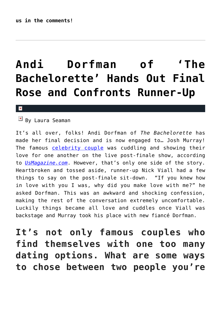# **[Andi Dorfman of 'The](https://cupidspulse.com/78531/bachelorette-andi-dorfman-finale/) [Bachelorette' Hands Out Final](https://cupidspulse.com/78531/bachelorette-andi-dorfman-finale/) [Rose and Confronts Runner-Up](https://cupidspulse.com/78531/bachelorette-andi-dorfman-finale/)**

#### x

 $\boxed{\mathbf{x}}$  By Laura Seaman

It's all over, folks! Andi Dorfman of *The Bachelorette* has made her final decision and is now engaged to… Josh Murray! The famous [celebrity couple](http://cupidspulse.com/celebrity-relationships/dating-love/) was cuddling and showing their love for one another on the live post-finale show, according to *[UsMagazine.com](http://www.usmagazine.com/entertainment/news/bachelorette-after-the-final-rose-recap-andi-confronts-her-runner-up-2014287)*. However, that's only one side of the story. Heartbroken and tossed aside, runner-up Nick Viall had a few things to say on the post-finale sit-down. "If you knew how in love with you I was, why did you make love with me?" he asked Dorfman. This was an awkward and shocking confession, making the rest of the conversation extremely uncomfortable. Luckily things became all love and cuddles once Viall was backstage and Murray took his place with new fiancé Dorfman.

**It's not only famous couples who find themselves with one too many dating options. What are some ways to chose between two people you're**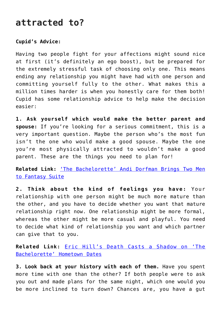### **attracted to?**

### **Cupid's Advice:**

Having two people fight for your affections might sound nice at first (it's definitely an ego boost), but be prepared for the extremely stressful task of choosing only one. This means ending any relationship you might have had with one person and committing yourself fully to the other. What makes this a million times harder is when you honestly care for them both! Cupid has some relationship advice to help make the decision easier:

**1. Ask yourself which would make the better parent and spouse:** If you're looking for a serious commitment, this is a very important question. Maybe the person who's the most fun isn't the one who would make a good spouse. Maybe the one you're most physically attracted to wouldn't make a good parent. These are the things you need to plan for!

**Related Link:** ['The Bachelorette' Andi Dorfman Brings Two Men](http://cupidspulse.com/bachelorette-andi-dorfman-fantasy-suite/) [to Fantasy Suite](http://cupidspulse.com/bachelorette-andi-dorfman-fantasy-suite/)

**2. Think about the kind of feelings you have:** Your relationship with one person might be much more mature than the other, and you have to decide whether you want that mature relationship right now. One relationship might be more formal, whereas the other might be more casual and playful. You need to decide what kind of relationship you want and which partner can give that to you.

**Related Link:** [Eric Hill's Death Casts a Shadow on 'The](http://cupidspulse.com/eric-hills-death-bachelorette/) [Bachelorette' Hometown Dates](http://cupidspulse.com/eric-hills-death-bachelorette/)

**3. Look back at your history with each of them.** Have you spent more time with one than the other? If both people were to ask you out and made plans for the same night, which one would you be more inclined to turn down? Chances are, you have a gut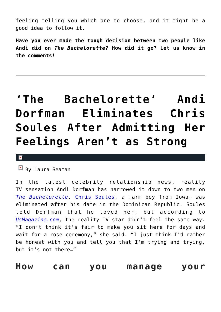feeling telling you which one to choose, and it might be a good idea to follow it.

**Have you ever made the tough decision between two people like Andi did on** *The Bachelorette?* **How did it go? Let us know in the comments!**

# **['The Bachelorette' Andi](https://cupidspulse.com/77843/bachelorette-andi-dorfman-fantasy-suite/) [Dorfman Eliminates Chris](https://cupidspulse.com/77843/bachelorette-andi-dorfman-fantasy-suite/) [Soules After Admitting Her](https://cupidspulse.com/77843/bachelorette-andi-dorfman-fantasy-suite/) [Feelings Aren't as Strong](https://cupidspulse.com/77843/bachelorette-andi-dorfman-fantasy-suite/)**

#### $\vert \mathbf{x} \vert$

 $\mathbb{E}$  By Laura Seaman

In the latest celebrity relationship news, reality TV sensation Andi Dorfman has narrowed it down to two men on *[The Bachelorette](http://cupidspulse.com/reality-tv-couples/the-bachelorette/)*. [Chris Soules,](http://cupidspulse.com/89545/chris-soules/) a farm boy from Iowa, was eliminated after his date in the Dominican Republic. Soules told Dorfman that he loved her, but according to *[UsMagazine.com](http://www.usmagazine.com/entertainment/news/bachelorette-recap-andi-dorfman-takes-two-men-to-the-fantasy-suite-2014157)*, the reality TV star didn't feel the same way. "I don't think it's fair to make you sit here for days and wait for a rose ceremony," she said. "I just think I'd rather be honest with you and tell you that I'm trying and trying, but it's not there…"

**How can you manage your**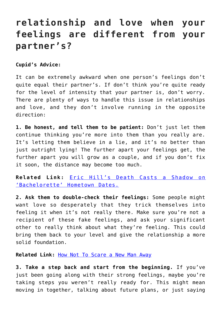### **relationship and love when your feelings are different from your partner's?**

**Cupid's Advice:**

It can be extremely awkward when one person's feelings don't quite equal their partner's. If don't think you're quite ready for the level of intensity that your partner is, don't worry. There are plenty of ways to handle this issue in relationships and love, and they don't involve running in the opposite direction:

**1. Be honest, and tell them to be patient:** Don't just let them continue thinking you're more into them than you really are. It's letting them believe in a lie, and it's no better than just outright lying! The further apart your feelings get, the further apart you will grow as a couple, and if you don't fix it soon, the distance may become too much.

**Related Link:** [Eric Hill's Death Casts a Shadow on](http://cupidspulse.com/eric-hills-death-bachelorette/) ['Bachelorette' Hometown Dates.](http://cupidspulse.com/eric-hills-death-bachelorette/)

**2. Ask them to double-check their feelings:** Some people might want love so desperately that they trick themselves into feeling it when it's not really there. Make sure you're not a recipient of these fake feelings, and ask your significant other to really think about what they're feeling. This could bring them back to your level and give the relationship a more solid foundation.

**Related Link:** [How Not To Scare a New Man Away](http://cupidspulse.com/how-not-to-scare-a-new-man-away-david-wygant/)

**3. Take a step back and start from the beginning.** If you've just been going along with their strong feelings, maybe you're taking steps you weren't really ready for. This might mean moving in together, talking about future plans, or just saying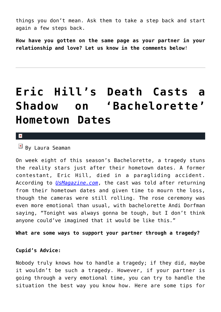things you don't mean. Ask them to take a step back and start again a few steps back.

**How have you gotten on the same page as your partner in your relationship and love? Let us know in the comments below**!

## **[Eric Hill's Death Casts a](https://cupidspulse.com/77269/eric-hills-death-bachelorette/) [Shadow on 'Bachelorette'](https://cupidspulse.com/77269/eric-hills-death-bachelorette/) [Hometown Dates](https://cupidspulse.com/77269/eric-hills-death-bachelorette/)**

 $\mathbf{x}$ 

 $By$  Laura Seaman

On week eight of this season's Bachelorette, a tragedy stuns the reality stars just after their hometown dates. A former contestant, Eric Hill, died in a paragliding accident. According to *[UsMagazine.com](http://www.usmagazine.com/entertainment/news/bachelorette-recap-eric-hills-death-overshadows-andis-hometown-date-201487)*, the cast was told after returning from their hometown dates and given time to mourn the loss, though the cameras were still rolling. The rose ceremony was even more emotional than usual, with bachelorette Andi Dorfman saying, "Tonight was always gonna be tough, but I don't think anyone could've imagined that it would be like this."

**What are some ways to support your partner through a tragedy?**

#### **Cupid's Advice:**

Nobody truly knows how to handle a tragedy; if they did, maybe it wouldn't be such a tragedy. However, if your partner is going through a very emotional time, you can try to handle the situation the best way you know how. Here are some tips for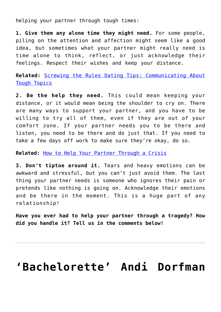helping your partner through tough times:

**1. Give them any alone time they might need.** For some people, piling on the attention and affection might seem like a good idea, but sometimes what your partner might really need is time alone to think, reflect, or just acknowledge their feelings. Respect their wishes and keep your distance.

**Related:** [Screwing the Rules Dating Tips: Communicating About](http://cupidspulse.com/screwing-the-rules-laurel-house-communicating-about-tough-topics/) [Tough Topics](http://cupidspulse.com/screwing-the-rules-laurel-house-communicating-about-tough-topics/)

**2. Be the help they need.** This could mean keeping your distance, or it would mean being the shoulder to cry on. There are many ways to support your partner, and you have to be willing to try all of them, even if they are out of your comfort zone. If your partner needs you to be there and listen, you need to be there and do just that. If you need to take a few days off work to make sure they're okay, do so.

**Related:** [How to Help Your Partner Through a Crisis](http://cupidspulse.com/help-partner-through-crisis-melanie-mar/)

**3. Don't tiptoe around it.** Tears and heavy emotions can be awkward and stressful, but you can't just avoid them. The last thing your partner needs is someone who ignores their pain or pretends like nothing is going on. Acknowledge their emotions and be there in the moment. This is a huge part of any relationship!

**Have you ever had to help your partner through a tragedy? How did you handle it? Tell us in the comments below!**

## **['Bachelorette' Andi Dorfman](https://cupidspulse.com/75980/bachelorette-andi-dorfman-quits-assistant-da-job/)**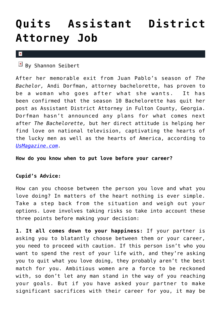# **[Quits Assistant District](https://cupidspulse.com/75980/bachelorette-andi-dorfman-quits-assistant-da-job/) [Attorney Job](https://cupidspulse.com/75980/bachelorette-andi-dorfman-quits-assistant-da-job/)**

#### $\mathbf x$

 $\mathbb{F}$  By Shannon Seibert

After her memorable exit from Juan Pablo's season of *The Bachelor,* Andi Dorfman, attorney bachelorette, has proven to be a woman who goes after what she wants. It has been confirmed that the season 10 Bachelorette has quit her post as Assistant District Attorney in Fulton County, Georgia. Dorfman hasn't announced any plans for what comes next after *The Bachelorette,* but her direct attitude is helping her find love on national television, captivating the hearts of the lucky men as well as the hearts of America, according to *[UsMagazine.com](http://www.usmagazine.com/entertainment/news/bachelorette-andi-dorfman-quits-job-as-assistant-da-2014176).*

**How do you know when to put love before your career?**

#### **Cupid's Advice:**

How can you choose between the person you love and what you love doing? In matters of the heart nothing is ever simple. Take a step back from the situation and weigh out your options. Love involves taking risks so take into account these three points before making your decision:

**1. It all comes down to your happiness:** If your partner is asking you to blatantly choose between them or your career, you need to proceed with caution. If this person isn't who you want to spend the rest of your life with, and they're asking you to quit what you love doing, they probably aren't the best match for you. Ambitious women are a force to be reckoned with, so don't let any man stand in the way of you reaching your goals. But if you have asked your partner to make significant sacrifices with their career for you, it may be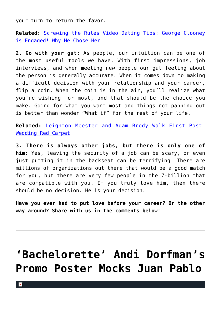your turn to return the favor.

**Related:** [Screwing the Rules Video Dating Tips: George Clooney](http://cupidspulse.com/screwing-the-rules-laurel-house-george-clooney-engaged/) [is Engaged! Why He Chose Her](http://cupidspulse.com/screwing-the-rules-laurel-house-george-clooney-engaged/)

**2. Go with your gut:** As people, our intuition can be one of the most useful tools we have. With first impressions, job interviews, and when meeting new people our gut feeling about the person is generally accurate. When it comes down to making a difficult decision with your relationship and your career, flip a coin. When the coin is in the air, you'll realize what you're wishing for most, and that should be the choice you make. Going for what you want most and things not panning out is better than wonder "What if" for the rest of your life.

**Related:** [Leighton Meester and Adam Brody Walk First Post-](http://cupidspulse.com/leighton-meester-and-adam-brody-walk-first-post-wedding-red-carpet/)[Wedding Red Carpet](http://cupidspulse.com/leighton-meester-and-adam-brody-walk-first-post-wedding-red-carpet/)

**3. There is always other jobs, but there is only one of him:** Yes, leaving the security of a job can be scary, or even just putting it in the backseat can be terrifying. There are millions of organizations out there that would be a good match for you, but there are very few people in the 7-billion that are compatible with you. If you truly love him, then there should be no decision. He is your decision.

**Have you ever had to put love before your career? Or the other way around? Share with us in the comments below!**

# **['Bachelorette' Andi Dorfman's](https://cupidspulse.com/73467/bachelorette-andi-dorfmans-promo-poster-juan-pablo/) [Promo Poster Mocks Juan Pablo](https://cupidspulse.com/73467/bachelorette-andi-dorfmans-promo-poster-juan-pablo/)**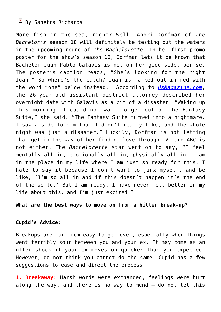### $\overline{B}$  By Sanetra Richards

More fish in the sea, right? Well, Andri Dorfman of *The Bachelor's* season 18 will definitely be testing out the waters in the upcoming round of *The Bachelorette*. In her first promo poster for the show's season 10, Dorfman lets it be known that Bachelor Juan Pablo Galavis is not on her good side, per se. The poster's caption reads, "She's looking for the right Juan." So where's the catch? Juan is marked out in red with the word "one" below instead. According to *[UsMagazine.com](http://www.usmagazine.com/entertainment/news/andi-dorfmans-bachelorette-poster-disses-juan-pablo-galavis-2014154)*, the 26-year-old assistant district attorney described her overnight date with Galavis as a bit of a disaster: "Waking up this morning, I could not wait to get out of the Fantasy Suite," she said. "The Fantasy Suite turned into a nightmare. I saw a side to him that I didn't really like, and the whole night was just a disaster." Luckily, Dorfman is not letting that get in the way of her finding love through TV, and ABC is not either. The *Bachelorette* star went on to say, "I feel mentally all in, emotionally all in, physically all in. I am in the place in my life where I am just so ready for this. I hate to say it because I don't want to jinx myself, and be like, 'I'm so all in and if this doesn't happen it's the end of the world.' But I am ready. I have never felt better in my life about this, and I'm just excited."

#### **What are the best ways to move on from a bitter break-up?**

#### **Cupid's Advice:**

Breakups are far from easy to get over, especially when things went terribly sour between you and your ex. It may come as an utter shock if your ex moves on quicker than you expected. However, do not think you cannot do the same. Cupid has a few suggestions to ease and direct the process:

**1. Breakaway:** Harsh words were exchanged, feelings were hurt along the way, and there is no way to mend — do not let this